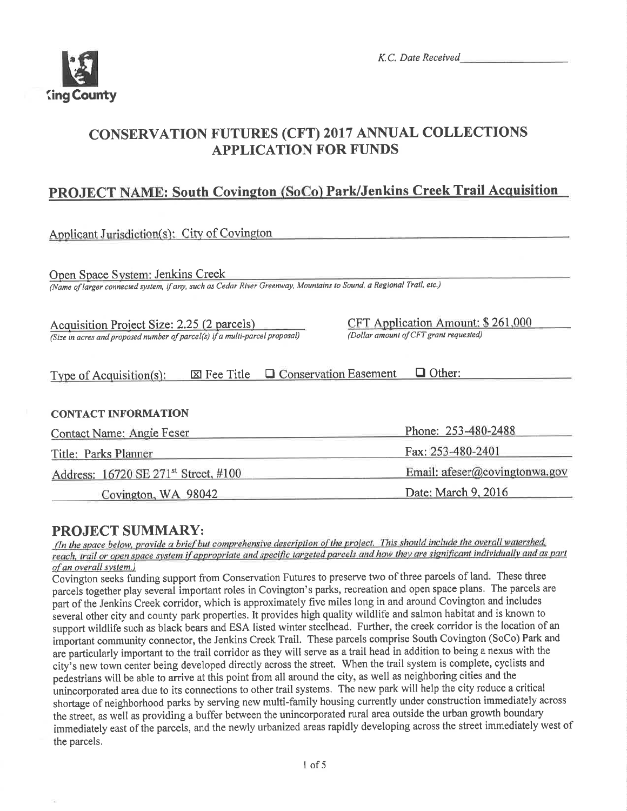

K.C. Date Received

# **CONSERVATION FUTURES (CFT) 2017 ANNUAL COLLECTIONS APPLICATION FOR FUNDS**

# PROJECT NAME: South Covington (SoCo) Park/Jenkins Creek Trail Acquisition

Applicant Jurisdiction(s): City of Covington

Open Space System: Jenkins Creek

(Name of larger connected system, if any, such as Cedar River Greenway, Mountains to Sound, a Regional Trail, etc.)

Acquisition Project Size: 2.25 (2 parcels) (Size in acres and proposed number of parcel(s) if a multi-parcel proposal) CFT Application Amount: \$261,000 (Dollar amount of CFT grant requested)

# Type of Acquisition(s):  $\boxtimes$  Fee Title  $\Box$  Conservation Easement  $\Box$  Other:

### **CONTACT INFORMATION**

| Contact Name: Angie Feser                        | Phone: 253-480-2488           |
|--------------------------------------------------|-------------------------------|
| Title: Parks Planner                             | Fax: 253-480-2401             |
| Address: 16720 SE 271 <sup>st</sup> Street, #100 | Email: afeser@covingtonwa.gov |
| Covington, WA 98042                              | Date: March 9, 2016           |

# **PROJECT SUMMARY:**

(In the space below, provide a brief but comprehensive description of the project. This should include the overall watershed, reach, trail or open space system if appropriate and specific targeted parcels and how they are significant individually and as part of an overall system.)

Covington seeks funding support from Conservation Futures to preserve two of three parcels of land. These three parcels together play several important roles in Covington's parks, recreation and open space plans. The parcels are part of the Jenkins Creek corridor, which is approximately five miles long in and around Covington and includes several other city and county park properties. It provides high quality wildlife and salmon habitat and is known to support wildlife such as black bears and ESA listed winter steelhead. Further, the creek corridor is the location of an important community connector, the Jenkins Creek Trail. These parcels comprise South Covington (SoCo) Park and are particularly important to the trail corridor as they will serve as a trail head in addition to being a nexus with the city's new town center being developed directly across the street. When the trail system is complete, cyclists and pedestrians will be able to arrive at this point from all around the city, as well as neighboring cities and the unincorporated area due to its connections to other trail systems. The new park will help the city reduce a critical shortage of neighborhood parks by serving new multi-family housing currently under construction immediately across the street, as well as providing a buffer between the unincorporated rural area outside the urban growth boundary immediately east of the parcels, and the newly urbanized areas rapidly developing across the street immediately west of the parcels.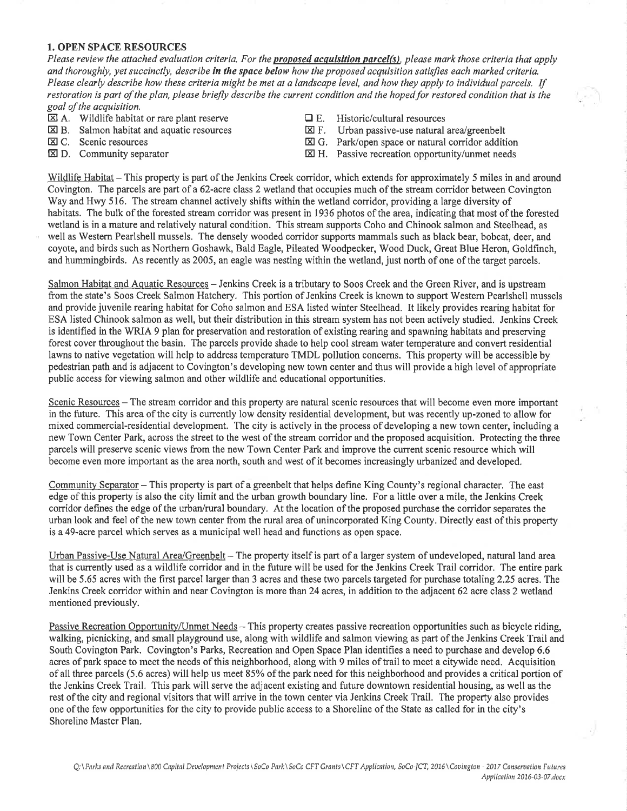#### 1. OPEN SPACE RESOURCES

Please review the attached evaluation criteria. For the proposed acquisition parcel(s), please mark those criteria that apply and thoroughly, yet succinctly, describe in the space below how the proposed acquisition satisfies each marked criteria. Please clearly describe how these criteria might be met at a landscape level, and how they apply to individual parcels. If restoration is part of the plan, please briefly describe the current condition and the hoped for restored condition that is the goal of the acquisition.

- $\overline{\boxtimes}$  A. Wildlife habitat or rare plant reserve<br>  $\overline{\boxtimes}$  B. Salmon habitat and aquatic resources  $\overline{\boxtimes}$  F. Urban passive-use natural area/greenbelt
- $\boxtimes$  B. Salmon habitat and aquatic resources  $\boxtimes$  C. Scenic resources
- 
- 
- 
- 
- E C. Scenic resources<br>
E G. Park/open space or natural corridor addition<br>
E H. Passive recreation opportunity/unmet needs<br>
E H. Passive recreation opportunity/unmet needs
	- $\boxtimes$  H. Passive recreation opportunity/unmet needs

Wildlife Habitat - This property is part of the Jenkins Creek corridor, which extends for approximately 5 miles in and around Covington. The parcels are part of a 62-acre class 2 wetland that occupies much of the stream corridor between Covington Way and Hwy 516. The stream channel actively shifts within the wetland corridor, providing a large diversity of habitats. The bulk of the forested stream corridor was present in 1936 photos of the area, indicating that most of the forested wetland is in a mature and relatively natural condition. This stream supports Coho and Chinook salmon and Steelhead, as well as Westem Pearlshell mussels. The densely wooded corridor supports mammals such as black bear, bobcat, deer, and coyote, and birds such as Northern Goshawk, Bald Eagle, Pileated Woodpecker, Wood Duck, Great Blue Heron, Goldhnch, and hummingbirds. As recently as 2005, an eagle was nesting within the wetland, just north of one of the target parcels.

Salmon Habitat and Aquatic Resources - Jenkins Creek is a tributary to Soos Creek and the Green River, and is upstream from the state's Soos Creek Salmon Hatchery. This portion of Jenkins Creek is known to support Western Pearlshell mussels and provide juvenile rearing habitat for Coho salmon and ESA listed winter Steelhead, It likely provides rearing habitat for ESA listed Chinook salmon as well, but their distribution in this stream system has not been actively studied. Jenkins Creek is identified in the WRIA 9 plan for preservation and restoration of existing rearing and spawning habitats and preserving forest cover throughout the basin. The parcels provide shade to help cool stream water temperature and convert residential lawns to native vegetation will help to address temperature TMDL pollution concerns. This property will be accessible by pedestrian path and is adjacent to Covington's developing new town center and thus will provide a high level of appropriate public access for viewing salmon and other wildlife and educational opportunities.

Scenic Resources – The stream corridor and this property are natural scenic resources that will become even more important in the future. This area of the city is currently low density residential development, but was recently up-zoned to allow for mixed commercial-residential development. The city is actively in the process of developing a new town center, including a new Town Center Park, across the street to the west of the stream corridor and the proposed acquisition. Protecting the three parcels will preserve scenic views from the new Town Center Park and improve the current scenic resource which will become even more important as the area north, south and west of it becomes increasingly urbanized and developed.

Community Separator - This property is part of a greenbelt that helps define King County's regional character. The east edge of this property is also the city limit and the urban growth boundary line. For a little over a mile, the Jenkins Creek corridor defines the edge of the urban/rural boundary. At the location of the proposed purchase the corridor separates the urban look and feel of the new town center from the rural area of unincorporated King County. Directly east of this property is a 49-acre parcel which serves as a municipal well head and functions as open space.

Urban Passive-Use Natural Area/Greenbelt - The property itself is part of a larger system of undeveloped, natural land area that is currently used as a wildlife corridor and in the future will be used for the Jenkins Creek Trail corridor. The entire park will be 5.65 acres with the first parcel larger than 3 acres and these two parcels targeted for purchase totaling 2.25 acres. The Jenkins Creek corridor within and near Covington is more than24 acres, in addition to the adjacent 62 acre class 2 wetland mentioned previously.

Passive Recreation Opportunity/Unmet Needs - This property creates passive recreation opportunities such as bicycle riding, walking, picnicking, and small playground use, along with wildlife and salmon viewing as part of the Jenkins Creek Trail and South Covington Park. Covington's Parks, Recreation and Open Space Plan identifies a need to purchase and develop 6.6 acres of park space to meet the needs of this neighborhood, along with 9 miles of trail to meet a citywide need. Acquisition of all three parcels (5.6 acres) will help us meet 85% of the park need for this neighborhood and provides a critical portion of the Jenkins Creek Trail. This park will serve the adjacent existing and future downtown residential housing, as well as the rest of the city and regional visitors that will anive in the town center via Jenkins Creek Trail. The properfy also provides one of the few opportunities for the city to provide public access to a Shoreline of the State as called for in the city's Shoreline Master Plan.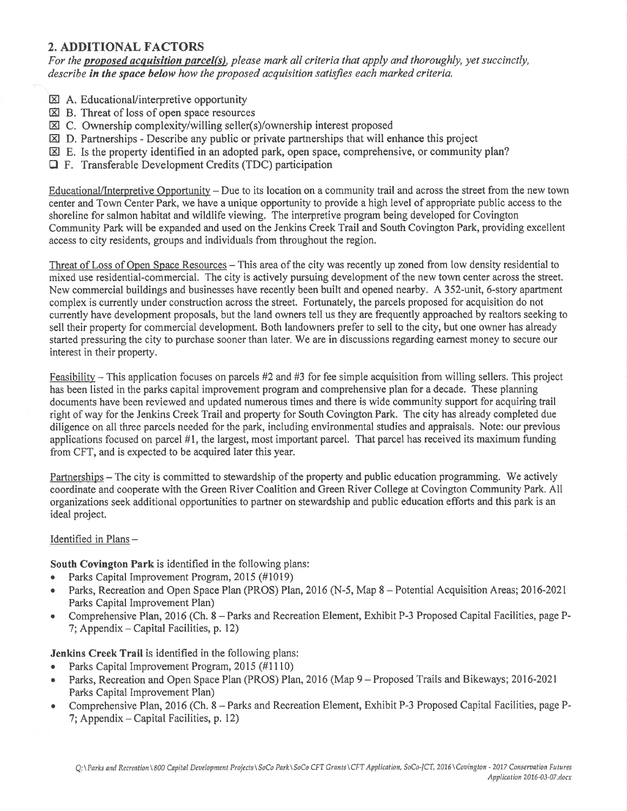# 2. ADDITIONAL FACTORS

For the proposed acquisition parcel(s), please mark all criteria that apply and thoroughly, yet succinctly, describe in the space below how the proposed acquisition satisfies each marked criteria.

- $\boxtimes$  A. Educational/interpretive opportunity
- $\boxtimes$  B. Threat of loss of open space resources
- $\boxtimes$  C. Ownership complexity/willing seller(s)/ownership interest proposed
- $\boxtimes$  D, Partnerships Describe any public or private partnerships that will enhance this project
- $\boxtimes$  E. Is the property identified in an adopted park, open space, comprehensive, or community plan?
- O F. Transferable Development Credits (TDC) participation

Educational/Interpretive Opportunity - Due to its location on a community trail and across the street from the new town center and Town Center Park, we have a unique opportunity to provide a high level of appropriate public access to the shoreline for salmon habitat and wildlife viewing. The interpretive program being developed for Covington Community Park will be expanded and used on the Jenkins Creek Trail and South Covington Park, providing excellent access to city residents, groups and individuals from throughout the region.

Threat of Loss of Open Space Resources - This area of the city was recently up zoned from low density residential to mixed use residential-commercial. The city is actively pursuing development of the new town center across the street. New commercial buildings and businesses have recently been built and opened nearby. A 352-unit, 6-story apartment complex is currently under construction across the street. Fortunately, the parcels proposed for acquisition do not cunently have development proposals, but the land owners tell us they are frequently approached by realtors seeking to sell their property for commercial development. Both landowners prefer to sell to the city, but one owner has already started pressuring the city to purchase sooner than later. We are in discussions regarding earnest money to secure our interest in their property.

Feasibility – This application focuses on parcels  $#2$  and  $#3$  for fee simple acquisition from willing sellers. This project has been listed in the parks capital improvement program and comprehensive plan for a decade. These planning documents have been reviewed and updated numerous times and there is wide community support for acquiring trail right of way for the Jenkins Creek Trail and property for South Covington Park. The city has already completed due diligence on all three parcels needed for the park, including environmental studies and appraisals. Note: our previous applications focused on parcel #1, the largest, most important parcel. That parcel has received its maximum funding from CFT, and is expected to be acquired later this year.

Partnerships – The city is committed to stewardship of the property and public education programming. We actively coordinate and cooperate with the Green River Coalition and Green River College at Covington Community Park. All organizations seek additional opportunities to partner on stewardship and public education efforts and this park is an ideal project.

#### Identified in Plans -

South Covington Park is identified in the following plans:

- . Parks Capital lmprovement Program, 2015 (#1019)
- Parks, Recreation and Open Space Plan (PROS) Plan, 2016 (N-5, Map 8 Potential Acquisition Areas; 2016-2021 Parks Capital Improvement Plan)
- Comprehensive Plan, 2016 (Ch. 8 Parks and Recreation Element, Exhibit P-3 Proposed Capital Facilities, page P-7; Appendix  $-$  Capital Facilities, p. 12)

Jenkins Creek Trail is identified in the following plans:

- Parks Capital Improvement Program, 2015 (#1110)
- Parks, Recreation and Open Space Plan (PROS) Plan, 2016 (Map 9 Proposed Trails and Bikeways; 2016-2021 Parks Capital Improvement Plan)
- Comprehensive Plan, 2016 (Ch. 8 Parks and Recreation Element, Exhibit P-3 Proposed Capital Facilities, page P-7; Appendix – Capital Facilities, p. 12)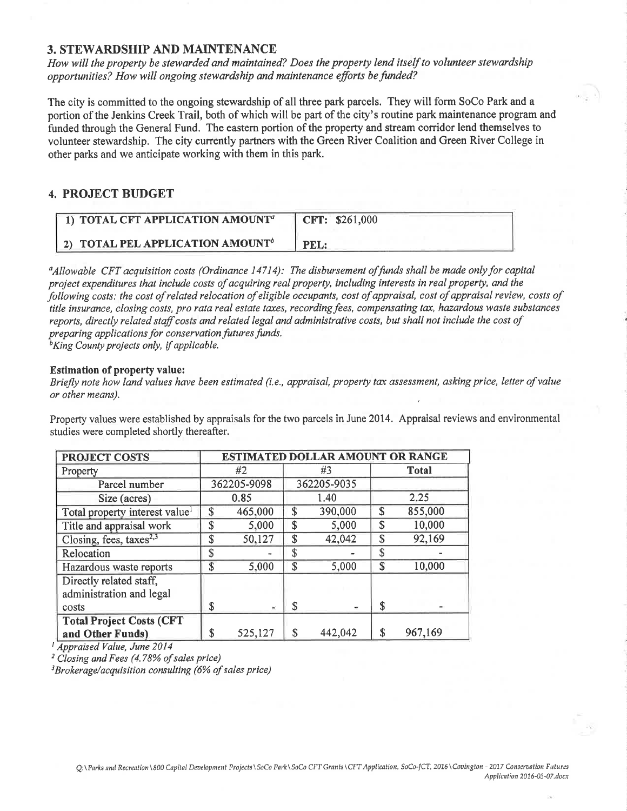#### 3. STEWARDSHIP AND MAINTENANCE

How will the property be stewarded and maintained? Does the property lend itself to volunteer stewardship opportunities? How will ongoing stewardship and maintenance efforts be funded?

The city is committed to the ongoing stewardship of all three park parcels. They will form SoCo Park and a portion of the Jenkins Creek Trail, both of which will be part of the city's routine park maintenance program and funded through the General Fund. The eastern portion of the property and stream corridor lend themselves to volunteer stewardship. The city currently partners with the Green River Coalition and Green River College in other parks and we anticipate working with them in this park.

### 4. PROJECT BUDGET

| 1) TOTAL CFT APPLICATION AMOUNT <sup>a</sup> | CFT: \$261,000 |
|----------------------------------------------|----------------|
| 2) TOTAL PEL APPLICATION AMOUNT <sup>b</sup> | PEL:           |

 $a_A$ llowable CFT acquisition costs (Ordinance 14714): The disbursement of funds shall be made only for capital project expenditures that include costs of acquiring real property, including interests in real property, and the following costs: the cost of related relocation of eligible occupants, cost of appraisal, cost of appraisal review, costs of title insurance, closing costs, pro rata real estate taxes, recording fees, compensating tax, hazardous waste substances reports, directly related staff costs and related legal and administrative costs, but shall not include the cost of preparing applications for conservation futures funds.

**King County projects only, if applicable.** 

#### Estimation of property value:

Briefly note how land values have been estimated (i.e., appraisal, property tax assessment, asking price, letter of value or other means).

Property values were established by appraisals for the two parcels in June 2014. Appraisal reviews and environmental studies were completed shortly thereafter.

| <b>PROJECT COSTS</b>                                | <b>ESTIMATED DOLLAR AMOUNT OR RANGE</b> |         |             |         |       |         |
|-----------------------------------------------------|-----------------------------------------|---------|-------------|---------|-------|---------|
| Property                                            | #2                                      |         | #3          |         | Total |         |
| Parcel number                                       | 362205-9098                             |         | 362205-9035 |         |       |         |
| Size (acres)                                        | 0.85                                    |         | 1.40        |         |       | 2.25    |
| Total property interest value <sup>1</sup>          | \$                                      | 465,000 | \$          | 390,000 | \$    | 855,000 |
| Title and appraisal work                            | \$                                      | 5,000   | \$          | 5,000   | \$    | 10,000  |
| Closing, fees, taxes <sup>2,3</sup>                 | \$                                      | 50,127  | \$          | 42,042  | \$    | 92,169  |
| Relocation                                          | \$                                      |         | \$          |         |       |         |
| Hazardous waste reports                             | \$                                      | 5,000   | \$          | 5,000   | \$    | 10,000  |
| Directly related staff,<br>administration and legal |                                         |         |             |         |       |         |
| costs                                               | \$                                      | ₩       | \$          |         | \$    |         |
| <b>Total Project Costs (CFT</b>                     |                                         |         |             |         |       |         |
| and Other Funds)                                    | \$                                      | 525,127 | \$          | 442,042 | S     | 967,169 |

<sup>1</sup> Appraised Value, June 2014

<sup>2</sup> Closing and Fees (4.78% of sales price)

 $3B$ rokerage/acquisition consulting (6% of sales price)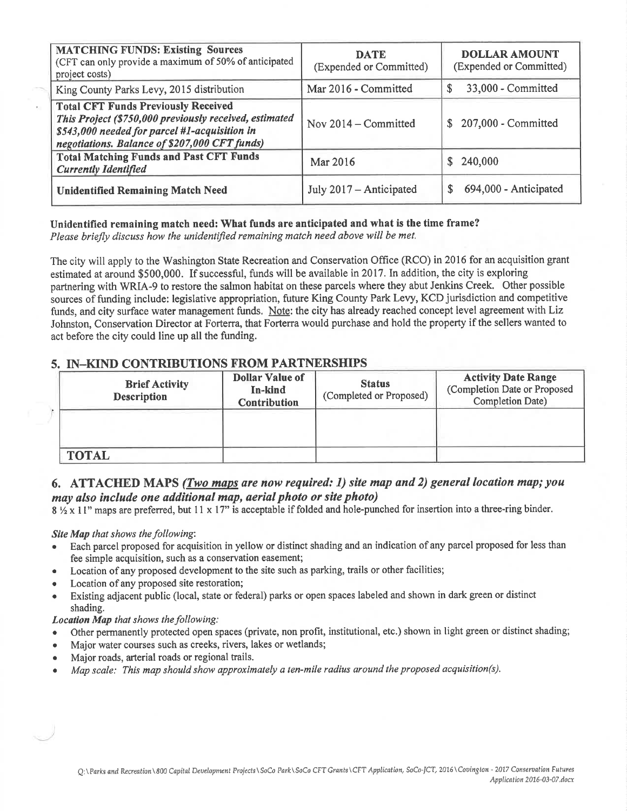| <b>MATCHING FUNDS: Existing Sources</b><br>(CFT can only provide a maximum of 50% of anticipated<br>project costs)                                                                                     | <b>DATE</b><br>(Expended or Committed) | <b>DOLLAR AMOUNT</b><br>(Expended or Committed) |
|--------------------------------------------------------------------------------------------------------------------------------------------------------------------------------------------------------|----------------------------------------|-------------------------------------------------|
| King County Parks Levy, 2015 distribution                                                                                                                                                              | Mar 2016 - Committed                   | 33,000 - Committed<br>\$                        |
| <b>Total CFT Funds Previously Received</b><br>This Project (\$750,000 previously received, estimated<br>\$543,000 needed for parcel #1-acquisition in<br>negotiations. Balance of \$207,000 CFT funds) | Nov $2014$ – Committed                 | \$207,000 - Committed                           |
| <b>Total Matching Funds and Past CFT Funds</b><br><b>Currently Identified</b>                                                                                                                          | Mar 2016                               | \$240,000                                       |
| <b>Unidentified Remaining Match Need</b>                                                                                                                                                               | July 2017 – Anticipated                | 694,000 - Anticipated<br>\$                     |

## Unidentified remaining match need: What funds are anticipated and what is the time frame?

Please briefly discuss how the unidentified remaining match need above will be met.

The city will apply to the Washington State Recreation and Conservation Office (RCO) in 2016 for an acquisition grant estimated at around \$500,000. If successful, funds will be available in 2017. In addition, the city is exploring partnering with WRIA-9 to restore the salmon habitat on these parcels where they abut Jenkins Creek. Other possible sources of funding include: legislative appropriation, future King County Park Levy, KCD jurisdiction and competitive funds, and city surface water management funds. Note: the city has already reached concept level agreement with Liz Johnston, Conservation Director at Forterra, that Forterra would purchase and hold the property if the sellers wanted to act before the city could line up all the funding.

### 5. IN-KIND CONTRIBUTIONS FROM PARTNERSHIPS

| <b>Brief Activity</b><br><b>Description</b> | <b>Dollar Value of</b><br>In-kind<br><b>Contribution</b> | <b>Status</b><br>(Completed or Proposed) | <b>Activity Date Range</b><br>(Completion Date or Proposed<br><b>Completion Date)</b> |  |
|---------------------------------------------|----------------------------------------------------------|------------------------------------------|---------------------------------------------------------------------------------------|--|
|                                             |                                                          |                                          |                                                                                       |  |
| <b>TOTAL</b>                                |                                                          |                                          |                                                                                       |  |

## 6. ATTACHED MAPS (Two maps are now required: 1) site map and 2) general location map; you may also include one additional map, aerial photo or site photo)

8 % x 11" maps are preferred, but 11 x 17" is acceptable if folded and hole-punched for insertion into a three-ring binder.

#### Site Map that shows the following:

- Each parcel proposed for acquisition in yellow or distinct shading and an indication of any parcel proposed for less than fee simple acquisition, such as a conservation easement;
- Location of any proposed development to the site such as parking, trails or other facilities;
- Location of any proposed site restoration;
- Existing adjacent public (local, state or federal) parks or open spaces labeled and shown in dark green or distinct shading.

### Location Map that shows the following:

- Other permanently protected open spaces (private, non profit, institutional, etc.) shown in light green or distinct shading;
- Major water courses such as creeks, rivers, lakes or wetlands;  $\bullet$
- Maior roads, arterial roads or regional trails.
- Map scale: This map should show approximately a ten-mile radius around the proposed acquisition(s).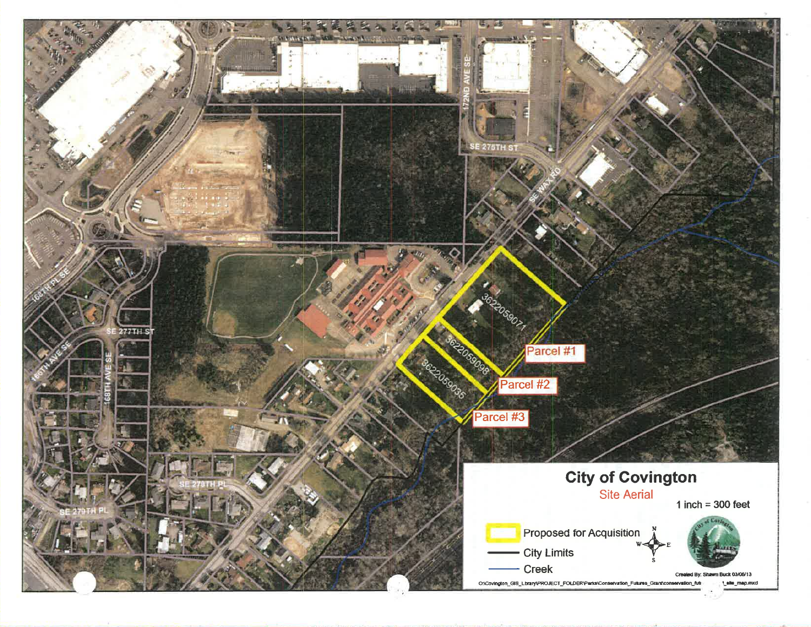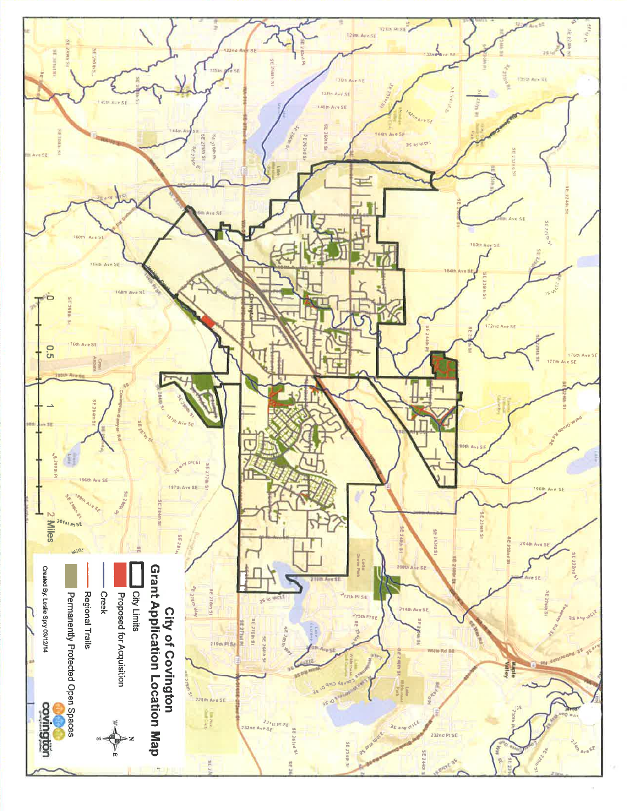